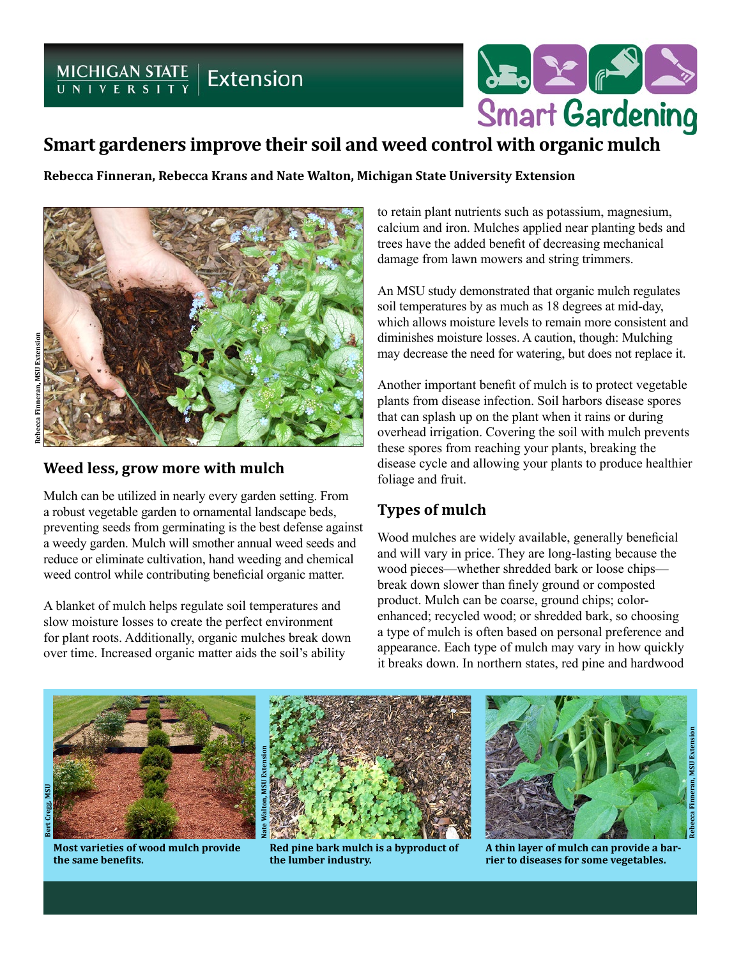# MICHIGAN STATE | Extension



### **Smart gardeners improve their soil and weed control with organic mulch**

**Rebecca Finneran, Rebecca Krans and Nate Walton, Michigan State University Extension**



#### **Weed less, grow more with mulch**

Mulch can be utilized in nearly every garden setting. From a robust vegetable garden to ornamental landscape beds, preventing seeds from germinating is the best defense against a weedy garden. Mulch will smother annual weed seeds and reduce or eliminate cultivation, hand weeding and chemical weed control while contributing beneficial organic matter.

A blanket of mulch helps regulate soil temperatures and slow moisture losses to create the perfect environment for plant roots. Additionally, organic mulches break down over time. Increased organic matter aids the soil's ability

to retain plant nutrients such as potassium, magnesium, calcium and iron. Mulches applied near planting beds and trees have the added benefit of decreasing mechanical damage from lawn mowers and string trimmers.

An MSU study demonstrated that organic mulch regulates soil temperatures by as much as 18 degrees at mid-day, which allows moisture levels to remain more consistent and diminishes moisture losses. A caution, though: Mulching may decrease the need for watering, but does not replace it.

Another important benefit of mulch is to protect vegetable plants from disease infection. Soil harbors disease spores that can splash up on the plant when it rains or during overhead irrigation. Covering the soil with mulch prevents these spores from reaching your plants, breaking the disease cycle and allowing your plants to produce healthier foliage and fruit.

#### **Types of mulch**

Wood mulches are widely available, generally beneficial and will vary in price. They are long-lasting because the wood pieces—whether shredded bark or loose chips break down slower than finely ground or composted product. Mulch can be coarse, ground chips; colorenhanced; recycled wood; or shredded bark, so choosing a type of mulch is often based on personal preference and appearance. Each type of mulch may vary in how quickly it breaks down. In northern states, red pine and hardwood



**Most varieties of wood mulch provide the same benefits.**



**Red pine bark mulch is a byproduct of the lumber industry.**



**A thin layer of mulch can provide a barrier to diseases for some vegetables.**